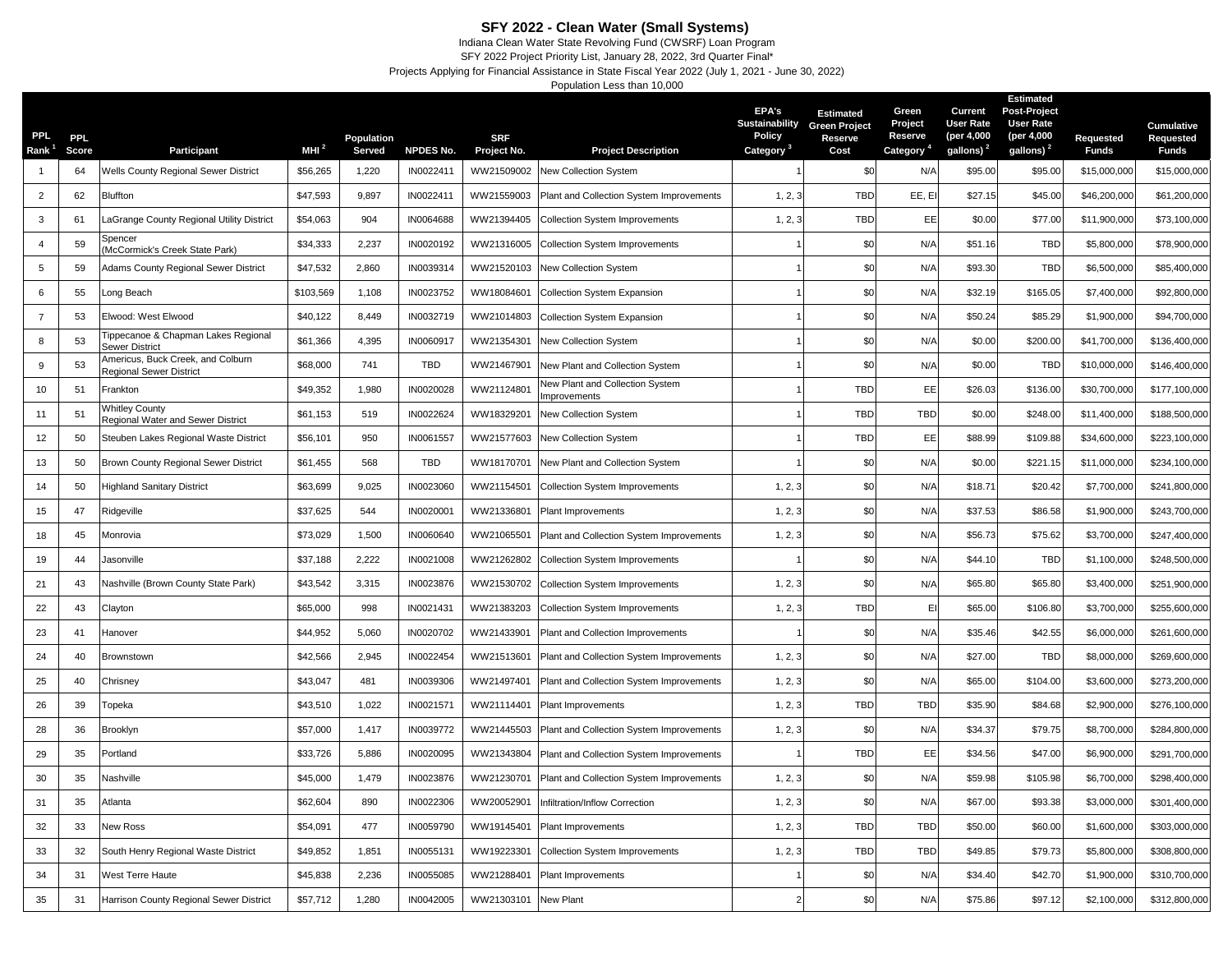## **SFY 2022 - Clean Water (Small Systems)**

Indiana Clean Water State Revolving Fund (CWSRF) Loan Program SFY 2022 Project Priority List, January 28, 2022, 3rd Quarter Final\*

Projects Applying for Financial Assistance in State Fiscal Year 2022 (July 1, 2021 - June 30, 2022)

Population Less than 10,000

| PPL.<br>Rank   | PPL.<br>Score | Participant                                                  | MHI $^2$  | Population<br>Served | <b>NPDES No.</b> | <b>SRF</b><br>Project No. | <b>Project Description</b>                     | <b>EPA's</b><br>Sustainability<br><b>Policy</b><br>Category <sup>3</sup> | <b>Estimated</b><br><b>Green Project</b><br>Reserve<br>Cost | Green<br>Project<br>Reserve<br>Category <sup>4</sup> | Current<br><b>User Rate</b><br>(per 4,000<br>gallons) <sup>2</sup> | <b>Estimated</b><br><b>Post-Project</b><br><b>User Rate</b><br>(per 4,000<br>gallons) <sup>2</sup> | Requested<br><b>Funds</b> | Cumulative<br>Requested<br><b>Funds</b> |
|----------------|---------------|--------------------------------------------------------------|-----------|----------------------|------------------|---------------------------|------------------------------------------------|--------------------------------------------------------------------------|-------------------------------------------------------------|------------------------------------------------------|--------------------------------------------------------------------|----------------------------------------------------------------------------------------------------|---------------------------|-----------------------------------------|
| $\overline{1}$ | 64            | Wells County Regional Sewer District                         | \$56,265  | 1,220                | IN0022411        | WW21509002                | New Collection System                          |                                                                          | \$0                                                         | N/A                                                  | \$95.00                                                            | \$95.00                                                                                            | \$15,000,000              | \$15,000,000                            |
| $\overline{2}$ | 62            | Bluffton                                                     | \$47,593  | 9,897                | IN0022411        | WW21559003                | Plant and Collection System Improvements       | 1, 2, 3                                                                  | <b>TBD</b>                                                  | EE, EI                                               | \$27.15                                                            | \$45.00                                                                                            | \$46,200,000              | \$61,200,000                            |
| 3              | 61            | aGrange County Regional Utility District                     | \$54,063  | 904                  | IN0064688        | WW21394405                | <b>Collection System Improvements</b>          | 1, 2, 3                                                                  | <b>TBD</b>                                                  | EE                                                   | \$0.00                                                             | \$77.00                                                                                            | \$11,900,000              | \$73,100,000                            |
| $\overline{4}$ | 59            | Spencer<br>McCormick's Creek State Park)                     | \$34,333  | 2,237                | IN0020192        | WW21316005                | <b>Collection System Improvements</b>          |                                                                          | \$0                                                         | N/A                                                  | \$51.16                                                            | <b>TBD</b>                                                                                         | \$5,800,000               | \$78,900,000                            |
| 5              | 59            | Adams County Regional Sewer District                         | \$47,532  | 2,860                | IN0039314        | WW21520103                | <b>New Collection System</b>                   |                                                                          | \$0                                                         | N/A                                                  | \$93.30                                                            | <b>TBD</b>                                                                                         | \$6,500,000               | \$85,400,000                            |
| 6              | 55            | ong Beach                                                    | \$103,569 | 1,108                | IN0023752        | WW18084601                | <b>Collection System Expansion</b>             |                                                                          | \$0                                                         | N/A                                                  | \$32.19                                                            | \$165.05                                                                                           | \$7,400,000               | \$92,800,000                            |
| $\overline{7}$ | 53            | Elwood: West Elwood                                          | \$40,122  | 8,449                | IN0032719        | WW21014803                | <b>Collection System Expansion</b>             |                                                                          | \$0                                                         | N/A                                                  | \$50.24                                                            | \$85.29                                                                                            | \$1,900,000               | \$94,700,000                            |
| 8              | 53            | Tippecanoe & Chapman Lakes Regional<br>Sewer District        | \$61,366  | 4,395                | IN0060917        | WW21354301                | New Collection System                          |                                                                          | \$0                                                         | N/A                                                  | \$0.00                                                             | \$200.00                                                                                           | \$41,700,000              | \$136,400,000                           |
| 9              | 53            | Americus, Buck Creek, and Colburn<br>Regional Sewer District | \$68,000  | 741                  | TBD              | WW21467901                | New Plant and Collection System                |                                                                          | \$0                                                         | N/A                                                  | \$0.00                                                             | <b>TBD</b>                                                                                         | \$10,000,000              | \$146,400,000                           |
| 10             | 51            | Frankton                                                     | \$49,352  | 1,980                | IN0020028        | WW21124801                | New Plant and Collection System<br>mprovements |                                                                          | <b>TBD</b>                                                  | EE                                                   | \$26.03                                                            | \$136.00                                                                                           | \$30,700,000              | \$177,100,000                           |
| 11             | 51            | <b>Nhitley County</b><br>Regional Water and Sewer District   | \$61,153  | 519                  | IN0022624        | WW18329201                | New Collection System                          |                                                                          | <b>TBD</b>                                                  | TBD                                                  | \$0.00                                                             | \$248.00                                                                                           | \$11,400,000              | \$188,500,000                           |
| 12             | 50            | Steuben Lakes Regional Waste District                        | \$56,101  | 950                  | IN0061557        | WW21577603                | New Collection System                          |                                                                          | <b>TBD</b>                                                  | EE                                                   | \$88.99                                                            | \$109.88                                                                                           | \$34,600,000              | \$223,100,000                           |
| 13             | 50            | <b>Brown County Regional Sewer District</b>                  | \$61,455  | 568                  | TBD              | WW18170701                | New Plant and Collection System                |                                                                          | \$0                                                         | N/A                                                  | \$0.00                                                             | \$221.15                                                                                           | \$11,000,000              | \$234,100,000                           |
| 14             | 50            | Highland Sanitary District                                   | \$63,699  | 9,025                | IN0023060        | WW21154501                | <b>Collection System Improvements</b>          | 1, 2, 3                                                                  | \$0                                                         | N/A                                                  | \$18.71                                                            | \$20.42                                                                                            | \$7,700,000               | \$241,800,000                           |
| 15             | 47            | Ridgeville                                                   | \$37,625  | 544                  | IN0020001        | WW21336801                | Plant Improvements                             | 1, 2, 3                                                                  | \$0                                                         | N/A                                                  | \$37.53                                                            | \$86.58                                                                                            | \$1,900,000               | \$243,700,000                           |
| 18             | 45            | Monrovia                                                     | \$73,029  | 1,500                | IN0060640        | WW21065501                | Plant and Collection System Improvements       | 1, 2, 3                                                                  | \$0                                                         | N/A                                                  | \$56.73                                                            | \$75.62                                                                                            | \$3,700,000               | \$247,400,000                           |
| 19             | 44            | Jasonville                                                   | \$37,188  | 2,222                | IN0021008        | WW21262802                | <b>Collection System Improvements</b>          |                                                                          | \$0                                                         | N/A                                                  | \$44.10                                                            | <b>TBD</b>                                                                                         | \$1,100,000               | \$248,500,000                           |
| 21             | 43            | Vashville (Brown County State Park)                          | \$43,542  | 3,315                | IN0023876        | WW21530702                | <b>Collection System Improvements</b>          | 1, 2, 3                                                                  | \$0                                                         | N/A                                                  | \$65.80                                                            | \$65.80                                                                                            | \$3,400,000               | \$251,900,000                           |
| 22             | 43            | Clayton                                                      | \$65,000  | 998                  | IN0021431        | WW21383203                | <b>Collection System Improvements</b>          | 1, 2, 3                                                                  | <b>TBD</b>                                                  | E                                                    | \$65.00                                                            | \$106.80                                                                                           | \$3,700,000               | \$255,600,000                           |
| 23             | 41            | Hanover                                                      | \$44,952  | 5,060                | IN0020702        | WW21433901                | Plant and Collection Improvements              |                                                                          | \$0                                                         | N/A                                                  | \$35.46                                                            | \$42.55                                                                                            | \$6,000,000               | \$261,600,000                           |
| 24             | 40            | Brownstown                                                   | \$42,566  | 2,945                | IN0022454        | WW21513601                | Plant and Collection System Improvements       | 1, 2, 3                                                                  | \$0                                                         | N/A                                                  | \$27.00                                                            | <b>TBD</b>                                                                                         | \$8,000,000               | \$269,600,000                           |
| 25             | 40            | Chrisney                                                     | \$43,047  | 481                  | IN0039306        | WW21497401                | Plant and Collection System Improvements       | 1, 2, 3                                                                  | \$0                                                         | N/A                                                  | \$65.00                                                            | \$104.00                                                                                           | \$3,600,000               | \$273,200,000                           |
| 26             | 39            | Topeka                                                       | \$43,510  | 1,022                | IN0021571        | WW21114401                | Plant Improvements                             | 1, 2, 3                                                                  | <b>TBD</b>                                                  | TBD                                                  | \$35.90                                                            | \$84.68                                                                                            | \$2,900,000               | \$276,100,000                           |
| 28             | 36            | Brooklyn                                                     | \$57,000  | 1,417                | IN0039772        | WW21445503                | Plant and Collection System Improvements       | 1, 2, 3                                                                  | \$0                                                         | N/A                                                  | \$34.37                                                            | \$79.75                                                                                            | \$8,700,000               | \$284,800,000                           |
| 29             | 35            | Portland                                                     | \$33,726  | 5,886                | IN0020095        | WW21343804                | Plant and Collection System Improvements       |                                                                          | <b>TBD</b>                                                  | EE                                                   | \$34.56                                                            | \$47.00                                                                                            | \$6,900,000               | \$291,700,000                           |
| 30             | 35            | Nashville                                                    | \$45,000  | 1,479                | IN0023876        | WW21230701                | Plant and Collection System Improvements       | 1, 2, 3                                                                  | \$0                                                         | N/A                                                  | \$59.98                                                            | \$105.98                                                                                           | \$6,700,000               | \$298,400,000                           |
| 31             | 35            | Atlanta                                                      | \$62,604  | 890                  | IN0022306        | WW20052901                | Infiltration/Inflow Correction                 | 1, 2, 3                                                                  | \$0                                                         | N/A                                                  | \$67.00                                                            | \$93.38                                                                                            | \$3,000,000               | \$301,400,000                           |
| 32             | 33            | <b>Vew Ross</b>                                              | \$54,091  | 477                  | IN0059790        | WW19145401                | <b>Plant Improvements</b>                      | 1, 2, 3                                                                  | TBD                                                         | <b>TBD</b>                                           | \$50.00                                                            | \$60.00                                                                                            | \$1,600,000               | \$303,000,000                           |
| 33             | 32            | South Henry Regional Waste District                          | \$49,852  | 1,851                | IN0055131        | WW19223301                | <b>Collection System Improvements</b>          | 1, 2, 3                                                                  | <b>TBD</b>                                                  | <b>TBD</b>                                           | \$49.85                                                            | \$79.73                                                                                            | \$5,800,000               | \$308,800,000                           |
| 34             | 31            | West Terre Haute                                             | \$45,838  | 2,236                | IN0055085        | WW21288401                | Plant Improvements                             |                                                                          | \$0                                                         | N/A                                                  | \$34.40                                                            | \$42.70                                                                                            | \$1,900,000               | \$310,700,000                           |
| 35             | 31            | Harrison County Regional Sewer District                      | \$57,712  | 1,280                | IN0042005        | WW21303101                | New Plant                                      |                                                                          | \$0                                                         | N/A                                                  | \$75.86                                                            | \$97.12                                                                                            | \$2,100,000               | \$312,800,000                           |